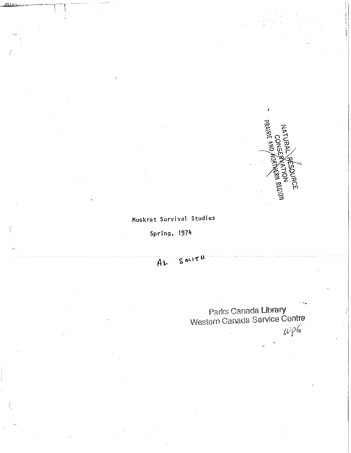

## Muskrat Survival Studies

Spring, 1974

### SMITH  $A<sub>k</sub>$

Parks Canada Library<br>Western Canada Service Centre

 $wpg$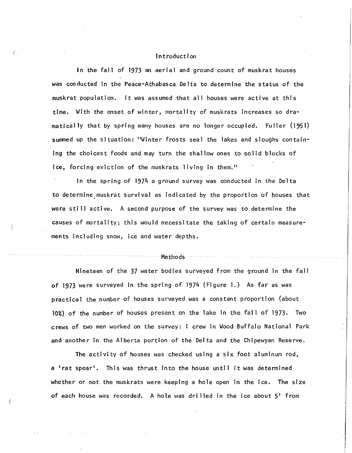### Introduction

In the fall of 1973 an aerial and ground count· of muskrat houses was conducted In the Peace•Athabasca Delta to determine the status of the muskrat population. It was assumed that all houses were active at this time. Wl:th the onset of winter, mortality of muskrats increases so dramatical Ty that by spring many houses are no longer occupied. Fuller (1951) summed up the situation: "Winter frosts seal the lakes and sloughs containing the choicest foods and may turn the shallow ones to solid blocks of ice, forcing eviction of the muskrats living in them."

In the spring of 1974 a ground survey was conducted in the Delta to determine muskrat survival as indicated by the proportion of houses that were sti 11 active. A second purpose of the survey was to determine the causes of mortality; this would necessitate the taking of certain measurements including snow, ice and water depths.

#### Methods

Nineteen of the 37 water bodies surveyed from the ground in the fall of 1973 were surveyed in the spring of 1974 (Figure 1.) As far as was practical the number of houses surveyed was a constant proportion (about 10%) of the number of houses present on the lake in the fall of 1973. Two crews of two men worked on the survey: 1 crew in Wood Buffalo National Park and another in the Alberta portion of the Delta and the Chipewyan Reserve.

The activity of houses was checked using a six foot aluminum rod, a 'rat spear'. This was thrust into the house until it was determined whether or not the muskrats were keeping a hole open in the ice. The size of each house was recorded. A hole was drilled in the ice about  $5'$  from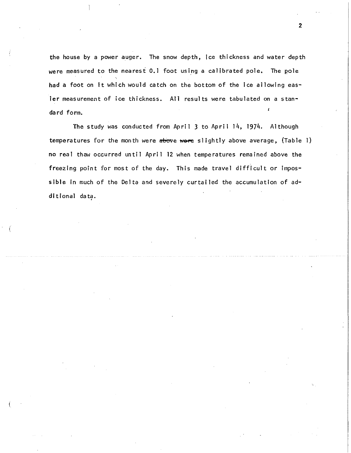the house by a power auger. The snow depth, ice thickness and water depth were measured to the nearest 0.1 foot using a calibrated pole. The pole had a foot on it which would catch on the bottom of the ice allowing easier measurement of ice thickness. All results were tabulated on a standard form.

2

The study was conducted from April 3 to April 14, 1974. Although temperatures for the month were  $\frac{1}{2}$  where slightly above average, (Table 1) no real thaw occurred until April 12 when temperatures remained above the freezing point for most of the day. This made travel difficult or impossible in much of the Delta and severely curtailed the accumulation of additional data.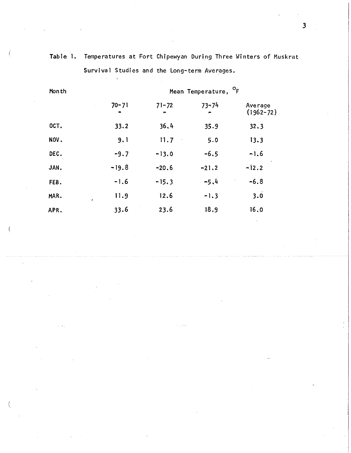|  | Table 1. Temperatures at Fort Chipewyan During Three Winters of Muskrat |  |  |  |  |
|--|-------------------------------------------------------------------------|--|--|--|--|
|  | Survival Studies and the Long-term Averages.                            |  |  |  |  |

|           | Month |           |                | Mean Temperature, <sup>O</sup> F |                          |  |
|-----------|-------|-----------|----------------|----------------------------------|--------------------------|--|
|           |       | $70 - 71$ | $71 - 72$<br>− | $73 - 74$<br>╒                   | Average<br>$(1962 - 72)$ |  |
|           | OCT.  | 33.2      | 36.4           | 35.9                             | 32.3                     |  |
|           | NOV.  | 9.1       | 11.7           | 5.0                              | 13.3                     |  |
|           | DEC.  | $-9.7$    | $-13.0$        | $-6.5$                           | $-1.6$                   |  |
|           | JAN.  | $-19.8$   | $-20.6$        | $-21.2$                          | $-12.2$                  |  |
|           | FEB.  | $-1.6$    | $-15.3$        | $-5.4$                           | $-6.8$                   |  |
|           | MAR.  | 11.9<br>٠ | 12.6           | $-1.3$                           | 3.0                      |  |
|           | APR.  | 33.6      | 23.6           | 18.9                             | 16,0                     |  |
|           |       |           |                |                                  | $\sim$                   |  |
| $\bullet$ |       |           |                |                                  |                          |  |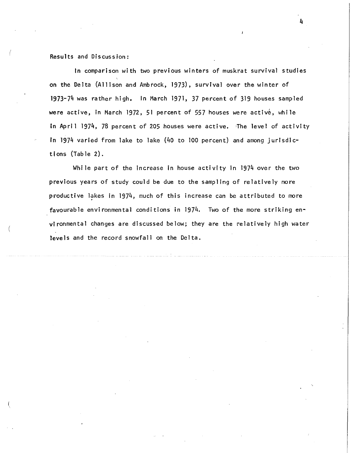Results and Discussion:

In comparison with two previous winters of muskrat survival studies on the Delta (Allison and Ambrock, 1973), survival over the winter of 1973-74 was rather high. In March 1971, 37 percent of 319 houses sampled were active, in March 1972, 51 percent of 557 houses were active, while In April 1974, 78 percent of 205 houses were active. 'The level of activity in 1974 varied from lake to lake (40 to 100 percent) and among jurisdictions (Table 2).

While part of the increase in house activity in 1974 over the two previous years of study could be due to the sampling of relatively more productive lakes in 1974, much of this increase can be attributed to more favourable environmental conditions in 1974. Two of the more striking environmental changes are discussed below; they are the relatively high water levels and the record snowfall on the Delta.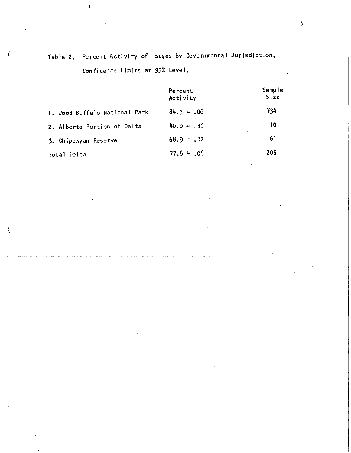# Table 2. Percent Activity of Houses by Governmental Jurisdiction. Confidence Limits at 95% Level,

|                               | Percent<br>Activity | Sample<br>Size |
|-------------------------------|---------------------|----------------|
| 1. Wood Buffalo National Park | $84.3 = .06$        | <b>¥34</b>     |
| 2. Alberta Portion of Delta   | $40.0 \pm .30$      | 10             |
| 3. Chipewyan Reserve          | $68.9 \pm .12$      | 61             |
| Total Delta                   | $77.6 = 0.06$       | 205            |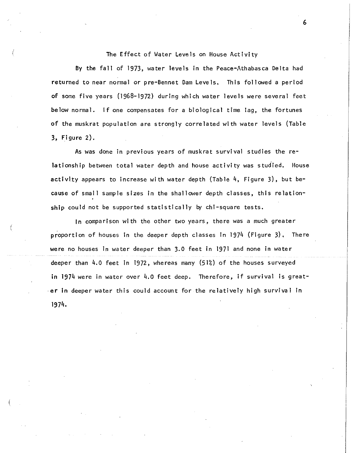### The Effect of Water Levels on House Activity

By the fall of 1973, water levels in the Peace-Athabasca Delta had returned to near normal or pre-Bennet Dam Levels, This followed a period of some five years (1968-1972) during which water levels were several feet below normal. If one compensates for a biological time lag, the fortunes of the muskrat population are strongly correlated with water levels (Table 3, Figure 2).

As was done in previous years of muskrat survival studies the relationship between total water depth and house activity was studied. House activity appears to increase with water depth (Table  $4$ , Figure 3), but because of small sample sizes in the shallower depth classes, this relationship could not be supported statistically by chi-square tests.

In comparison with the other two years, there was a much greater proportion of houses in the deeper depth classes in 1974 (Figure 3), There were no houses in water deeper than 3.0 feet in 1971 and none in water deeper than 4.0 feet in 1972, whereas many (51%) of the houses surveyed in 1974 were in water over 4.0 feet deep. Therefore, if survival is great-  $\cdot$ er in deeper water this could account for the relatively high survival in 1974.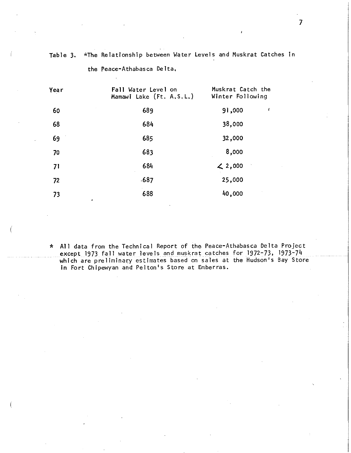|  |  | Table 3. *The Relationship between Water Levels and Muskrat Catches in |  |  |  |  |  |  |  |
|--|--|------------------------------------------------------------------------|--|--|--|--|--|--|--|
|--|--|------------------------------------------------------------------------|--|--|--|--|--|--|--|

| Year    | Fall Water Level on<br>Mamawi Lake (Ft. A.S.L.) | Muskrat Catch the<br>Winter Following |
|---------|-------------------------------------------------|---------------------------------------|
| 60      | 689                                             | 91,000<br>ı                           |
| 68      | 684                                             | 38,000                                |
| 69      | 685                                             | 32,000                                |
| 70      | 683                                             | 8,000                                 |
| 71      | 684                                             | 2,000                                 |
| 72      | .687                                            | 25,000                                |
| 73<br>٠ | 688                                             | 40,000                                |

the Peace-Athabasca Delta,

\* All data from the Technical Report of the Peace-Athabasca Delta Project except 1973 fall water levels and muskrat catches for 1972-73, 1973-74 which are preliminary estimates based on sales at the Hudson's Bay Store in Fort Chipewyan and Pelton's Store at Emberras.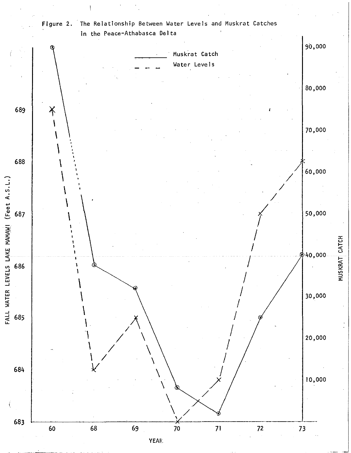

The Relationship Between Water Levels and Muskrat Catches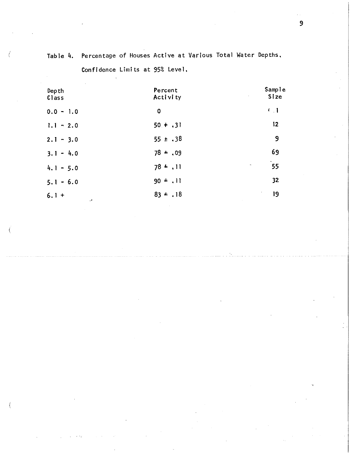| Depth<br>Class     | Percent<br>Activity | Sample<br>Size<br><b>All Corporation</b> |
|--------------------|---------------------|------------------------------------------|
| $0.0 - 1.0$        | 0                   | $\mathcal{L}$ $\mathcal{L}$              |
| $1.1 - 2.0$        | $50 + .31$          | 12 <sub>2</sub>                          |
| $2.1 - 3.0$        | $55 \pm .38$        | 9                                        |
| $3.1 - 4.0$        | $78 = .09$          | 69                                       |
| $4.1 - 5.0$        | $78 + .11$          | 55<br>$\pmb{\cdot}$                      |
| $5.1 - 6.0$        | $90 + .11$          | 32                                       |
| $6.1 +$<br>$\cdot$ | $83 + .18$          | 19                                       |

Table 4. Percentage of Houses Active at Various Total Water Depths, Confidence Limits at 95% Level.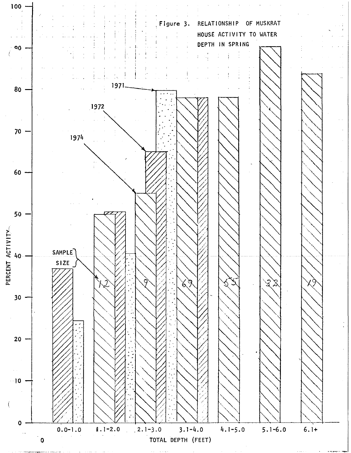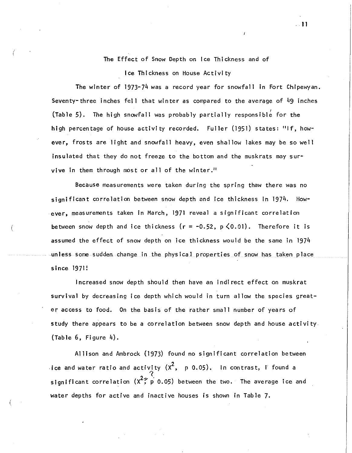### The Effect of Snow Depth on Ice Thickness and of

Ice Thickness on House Activity

(

The winter of 1973-74 was a record year for snowfall in Fort Chipewyan. Seventy-three inches fell that winter as compared to the average of  $49$  inches (Table 5). The high snowfall was probably partially responsible for the high percentage of house activity recorded. Fuller (1951) states: "If, however, frosts are light and snowfall heavy, even shallow lakes may be so well insulated that they do not freeze to the bottom and the muskrats may survive in them through most or all of the winter."

Because measurements were taken during the spring thaw there was no significant correlation between snow depth and ice thickness in 1974. However, measurements taken in March, 1971 reveal a significant correlation between snow depth and ice thickness ( $r = -0.52$ ,  $p \le 0.01$ ). Therefore it is assumed the effect of snow depth on ice thickness would be the same in 1974 unless some sudden change in the physical properties of snow has taken place since 1971!

Increased snow depth should then have an indirect effect on muskrat survival by decreasing ice depth which would in turn allow the species greater access to food. On the basis of the rather small number of years of study there appears to be a correlation between snow depth and house activity (Table 6, Figure 4).

Allison and Ambrock (1973) found no significant correlation between ice and water ratio and activity  $(x^2, p 0.05)$ . In contrast,  $\frac{1}{2}$  found a significant correlation  $(x^2; p \ 0.05)$  between the two. The average ice and water depths for active and inactive houses is shown in Table 7,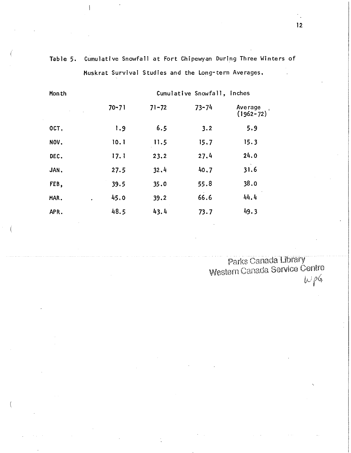| Month           |           |           | Cumulative Snowfall, inches |                          |
|-----------------|-----------|-----------|-----------------------------|--------------------------|
| $\epsilon$      | $70 - 71$ | $71 - 72$ | $73 - 74$                   | Average<br>$(1962 - 72)$ |
| OCT.            | 1.9       | 6.5       | 3.2                         | 5.9                      |
| NOV.            | 10.1      | 11.5      | 15,7                        | 15.3                     |
| DEC.            | 17.1      | 23.2      | 27.4                        | 24.0                     |
| JAN.            | 27.5      | 32.4      | 40,7                        | 31.6                     |
| FEB,            | 39.5      | 35.0      | 55.8                        | 38.0                     |
| MAR.<br>$\cdot$ | 45.0      | 39.2      | 66.6                        | 44.4                     |
| APR.            | 48.5      | 43.4      | 73.7                        | 49.3                     |

Cumulative Snowfall at Fort Chipewyan During Three Winters of Table 5. Muskrat Survival Studies and the Long-term Averages,

> Parks Canada Library<br>Western Canada Service Centre  $w\rho G$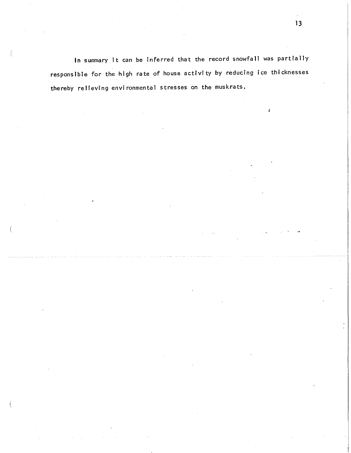In summary it can be inferred that the record snowfall was partially responsible for the high rate of house activity by reducing ice thicknesses thereby relieving environmental stresses on the muskrats.

 $\pmb{\ell}$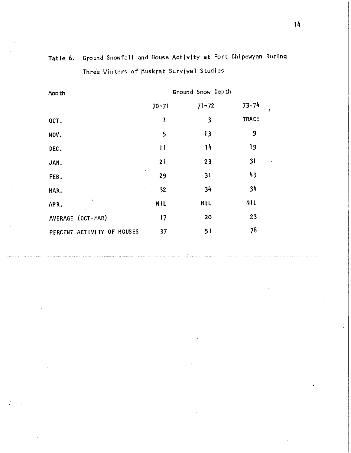| Mon th                     | Ground Snow Depth |            |               |
|----------------------------|-------------------|------------|---------------|
|                            | $70 - 71$         | $71 - 72$  | $73 - 74$     |
| OCT.                       | l                 | 3          | <b>TRACE</b>  |
| NOV.                       | 5                 | 13         | 9             |
| DEC.                       | $\mathbf{1}$      | 14         | 19            |
| JAN.                       | 21                | 23         | $\frac{3}{2}$ |
| FEB.                       | 29                | 31         | 43            |
| MAR.                       | 32                | 34         | 34            |
| APR.                       | NIL.              | <b>NIL</b> | <b>NIL</b>    |
| AVERAGE (OCT-MAR)          | 17                | 20         | 23            |
| PERCENT ACTIVITY OF HOUSES | 37                | 51         | 78            |

Table 6. Ground Snowfall and House Activity at Fort Chipewyan During Three Winters of Muskrat Survival Studies

 $\epsilon$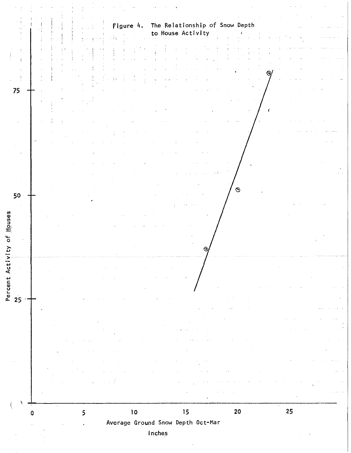|                    | The Relationship of Snow Depth<br>Figure 4.<br>to House Activity |    |
|--------------------|------------------------------------------------------------------|----|
|                    |                                                                  |    |
|                    |                                                                  |    |
| 75                 |                                                                  |    |
|                    |                                                                  |    |
|                    |                                                                  |    |
|                    |                                                                  |    |
| 50                 | $\odot$                                                          |    |
|                    |                                                                  |    |
| Houses<br>t.<br>O  |                                                                  |    |
|                    |                                                                  |    |
| Act $\overline{t}$ |                                                                  |    |
|                    |                                                                  |    |
|                    |                                                                  |    |
|                    |                                                                  |    |
|                    |                                                                  |    |
|                    |                                                                  |    |
|                    | $\bullet$<br>${\bf 20}$<br>$\bf 10$<br>15<br>5<br>0              | 25 |
|                    | Average Ground Snow Depth Oct-Mar<br>Inches                      |    |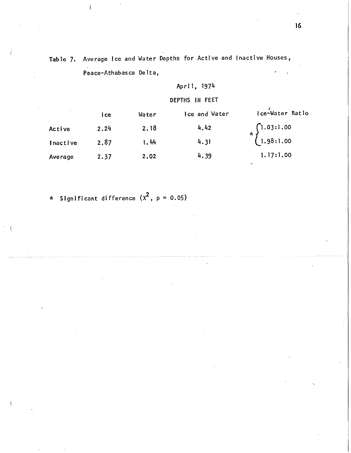Table 7. Average Ice and Water Depths for Active and Inactive Houses, Peace-Athabasca Delta,

April, 1974

DEPTHS IN FEET

|          | l ce | Water | lce and Water | Ice-Water Ratio                                                       |
|----------|------|-------|---------------|-----------------------------------------------------------------------|
| Active   | 2.24 | 2.18  | 4.42          | $*\left\{\begin{aligned} 1.03:1.00 \\ 1.98:1.00 \end{aligned}\right.$ |
| Inactive | 2.87 | 1.44  | 4.31          |                                                                       |
| Average  | 2.37 | 2,02  | 4.39          | 1.17:1.00                                                             |

\* Significant difference  $(x^2, p = 0.05)$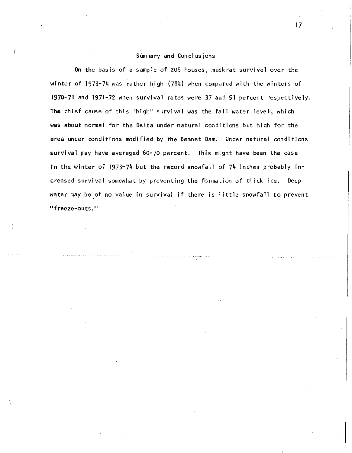### Summary and Conclusions

On the basis of a sample of 205 houses, muskrat survival over the winter of 1973-74 was rather high (78%) when compared with the winters of 1970-71 and 1971-72 when survival rates were 37 and 51 percent respectively. The chief cause of this "high" survival was the fall water level', which was about normal for the Delta under natural conditions but high for the area under conditions modified by the Bennet Dam. Under natural conditions survival may have averaged 60-70 percent, This might have been the case In the winter of 1973-74 but the record snowfall of 74 inches probably increased survival somewhat by preventing the formation of thick ice, Deep water may be of no value in survival if there is little snowfall to prevent "freeze-outs."